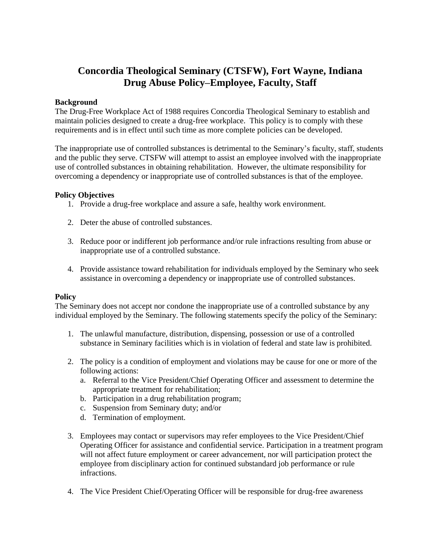# **Concordia Theological Seminary (CTSFW), Fort Wayne, Indiana Drug Abuse Policy–Employee, Faculty, Staff**

# **Background**

The Drug-Free Workplace Act of 1988 requires Concordia Theological Seminary to establish and maintain policies designed to create a drug-free workplace. This policy is to comply with these requirements and is in effect until such time as more complete policies can be developed.

The inappropriate use of controlled substances is detrimental to the Seminary's faculty, staff, students and the public they serve. CTSFW will attempt to assist an employee involved with the inappropriate use of controlled substances in obtaining rehabilitation. However, the ultimate responsibility for overcoming a dependency or inappropriate use of controlled substances is that of the employee.

# **Policy Objectives**

- 1. Provide a drug-free workplace and assure a safe, healthy work environment.
- 2. Deter the abuse of controlled substances.
- 3. Reduce poor or indifferent job performance and/or rule infractions resulting from abuse or inappropriate use of a controlled substance.
- 4. Provide assistance toward rehabilitation for individuals employed by the Seminary who seek assistance in overcoming a dependency or inappropriate use of controlled substances.

### **Policy**

The Seminary does not accept nor condone the inappropriate use of a controlled substance by any individual employed by the Seminary. The following statements specify the policy of the Seminary:

- 1. The unlawful manufacture, distribution, dispensing, possession or use of a controlled substance in Seminary facilities which is in violation of federal and state law is prohibited.
- 2. The policy is a condition of employment and violations may be cause for one or more of the following actions:
	- a. Referral to the Vice President/Chief Operating Officer and assessment to determine the appropriate treatment for rehabilitation;
	- b. Participation in a drug rehabilitation program;
	- c. Suspension from Seminary duty; and/or
	- d. Termination of employment.
- 3. Employees may contact or supervisors may refer employees to the Vice President/Chief Operating Officer for assistance and confidential service. Participation in a treatment program will not affect future employment or career advancement, nor will participation protect the employee from disciplinary action for continued substandard job performance or rule infractions.
- 4. The Vice President Chief/Operating Officer will be responsible for drug-free awareness